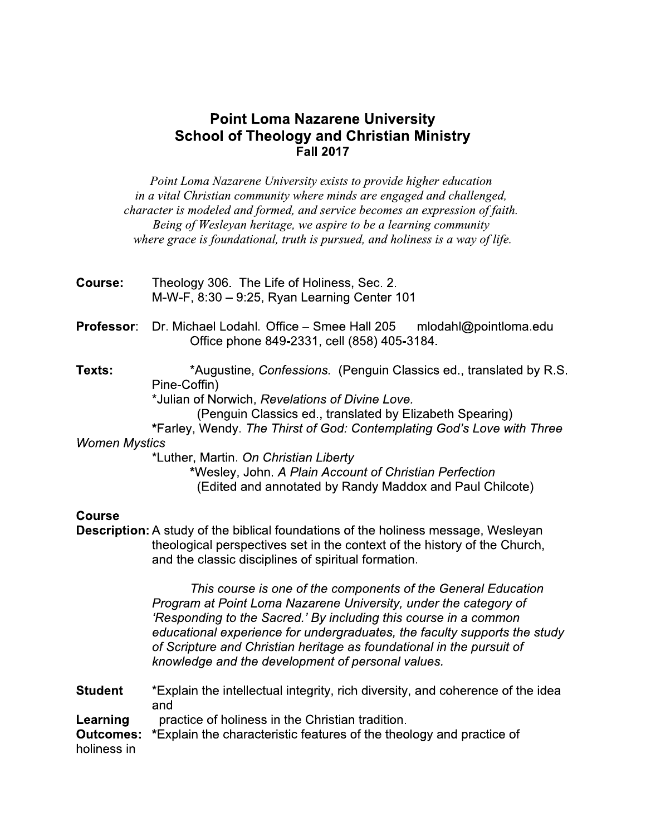# **Point Loma Nazarene University School of Theology and Christian Ministry Fall 2017**

Point Loma Nazarene University exists to provide higher education in a vital Christian community where minds are engaged and challenged, character is modeled and formed, and service becomes an expression of faith. Being of Wesleyan heritage, we aspire to be a learning community where grace is foundational, truth is pursued, and holiness is a way of life.

- Course: Theology 306. The Life of Holiness, Sec. 2. M-W-F, 8:30 - 9:25, Ryan Learning Center 101
- **Professor:** Dr. Michael Lodahl. Office - Smee Hall 205 mlodahl@pointloma.edu Office phone 849-2331, cell (858) 405-3184.

Texts: \*Augustine, Confessions. (Penguin Classics ed., translated by R.S. Pine-Coffin) \*Julian of Norwich, Revelations of Divine Love. (Penguin Classics ed., translated by Elizabeth Spearing) \*Farley, Wendy. The Thirst of God: Contemplating God's Love with Three **Women Mystics** \*Luther, Martin. On Christian Liberty \*Wesley, John. A Plain Account of Christian Perfection

(Edited and annotated by Randy Maddox and Paul Chilcote)

#### **Course**

**Description:** A study of the biblical foundations of the holiness message, Wesleyan theological perspectives set in the context of the history of the Church, and the classic disciplines of spiritual formation.

> This course is one of the components of the General Education Program at Point Loma Nazarene University, under the category of 'Responding to the Sacred.' By including this course in a common educational experience for undergraduates, the faculty supports the study of Scripture and Christian heritage as foundational in the pursuit of knowledge and the development of personal values.

**Student** \*Explain the intellectual integrity, rich diversity, and coherence of the idea and Learning practice of holiness in the Christian tradition. \*Explain the characteristic features of the theology and practice of **Outcomes:** 

holiness in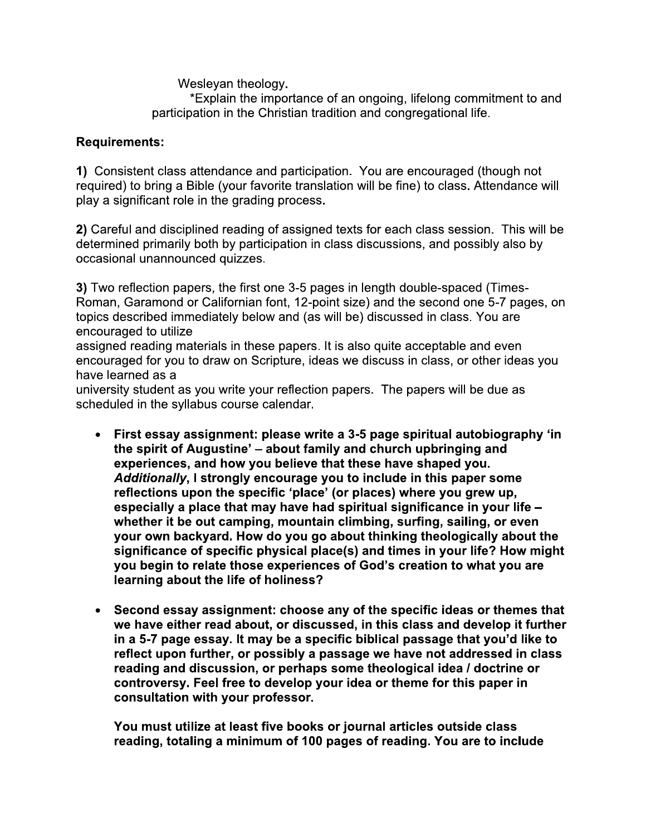Wesleyan theology.

\*Explain the importance of an ongoing, lifelong commitment to and participation in the Christian tradition and congregational life.

# **Requirements:**

1) Consistent class attendance and participation. You are encouraged (though not required) to bring a Bible (your favorite translation will be fine) to class. Attendance will play a significant role in the grading process.

2) Careful and disciplined reading of assigned texts for each class session. This will be determined primarily both by participation in class discussions, and possibly also by occasional unannounced quizzes.

3) Two reflection papers, the first one 3-5 pages in length double-spaced (Times-Roman, Garamond or Californian font, 12-point size) and the second one 5-7 pages, on topics described immediately below and (as will be) discussed in class. You are encouraged to utilize

assigned reading materials in these papers. It is also quite acceptable and even encouraged for you to draw on Scripture, ideas we discuss in class, or other ideas you have learned as a

university student as you write your reflection papers. The papers will be due as scheduled in the syllabus course calendar.

- First essay assignment: please write a 3-5 page spiritual autobiography 'in the spirit of Augustine' – about family and church upbringing and experiences, and how you believe that these have shaped you. Additionally, I strongly encourage you to include in this paper some reflections upon the specific 'place' (or places) where you grew up, especially a place that may have had spiritual significance in your life whether it be out camping, mountain climbing, surfing, sailing, or even your own backyard. How do you go about thinking theologically about the significance of specific physical place(s) and times in your life? How might you begin to relate those experiences of God's creation to what you are learning about the life of holiness?
- Second essay assignment: choose any of the specific ideas or themes that we have either read about, or discussed, in this class and develop it further in a 5-7 page essay. It may be a specific biblical passage that you'd like to reflect upon further, or possibly a passage we have not addressed in class reading and discussion, or perhaps some theological idea / doctrine or controversy. Feel free to develop your idea or theme for this paper in consultation with your professor.

You must utilize at least five books or journal articles outside class reading, totaling a minimum of 100 pages of reading. You are to include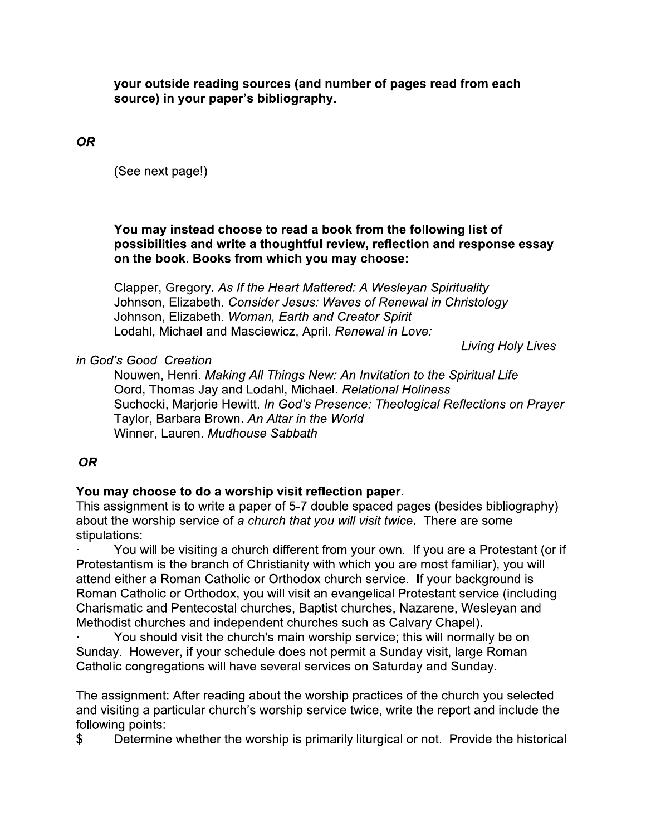your outside reading sources (and number of pages read from each source) in your paper's bibliography.

**OR** 

(See next page!)

#### You may instead choose to read a book from the following list of possibilities and write a thoughtful review, reflection and response essay on the book. Books from which you may choose:

Clapper, Gregory. As If the Heart Mattered: A Wesleyan Spirituality Johnson, Elizabeth. Consider Jesus: Waves of Renewal in Christology Johnson, Elizabeth. Woman, Earth and Creator Spirit Lodahl, Michael and Masciewicz, April. Renewal in Love:

Living Holy Lives

## in God's Good Creation

Nouwen, Henri. Making All Things New: An Invitation to the Spiritual Life Oord, Thomas Jay and Lodahl, Michael. Relational Holiness Suchocki, Marjorie Hewitt. In God's Presence: Theological Reflections on Prayer Taylor, Barbara Brown. An Altar in the World Winner, Lauren. Mudhouse Sabbath

## **OR**

## You may choose to do a worship visit reflection paper.

This assignment is to write a paper of 5-7 double spaced pages (besides bibliography) about the worship service of a church that you will visit twice. There are some stipulations:

You will be visiting a church different from your own. If you are a Protestant (or if Protestantism is the branch of Christianity with which you are most familiar), you will attend either a Roman Catholic or Orthodox church service. If your background is Roman Catholic or Orthodox, you will visit an evangelical Protestant service (including Charismatic and Pentecostal churches, Baptist churches, Nazarene, Wesleyan and Methodist churches and independent churches such as Calvary Chapel).

You should visit the church's main worship service; this will normally be on Sunday. However, if your schedule does not permit a Sunday visit, large Roman Catholic congregations will have several services on Saturday and Sunday.

The assignment: After reading about the worship practices of the church you selected and visiting a particular church's worship service twice, write the report and include the following points:

 $\mathfrak{L}$ Determine whether the worship is primarily liturgical or not. Provide the historical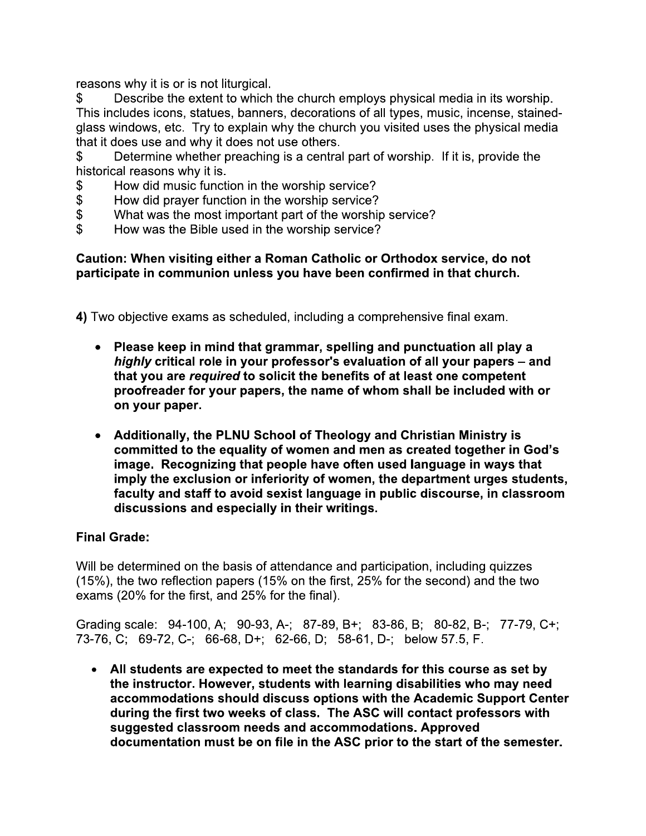reasons why it is or is not liturgical.

\$ Describe the extent to which the church employs physical media in its worship. This includes icons, statues, banners, decorations of all types, music, incense, stainedglass windows, etc. Try to explain why the church you visited uses the physical media that it does use and why it does not use others.

Determine whether preaching is a central part of worship. If it is, provide the \$ historical reasons why it is.

- How did music function in the worship service? \$
- $\overline{\mathcal{S}}$ How did prayer function in the worship service?
- \$ What was the most important part of the worship service?
- $\mathfrak{L}$ How was the Bible used in the worship service?

# Caution: When visiting either a Roman Catholic or Orthodox service, do not participate in communion unless you have been confirmed in that church.

4) Two objective exams as scheduled, including a comprehensive final exam.

- Please keep in mind that grammar, spelling and punctuation all play a highly critical role in your professor's evaluation of all your papers - and that you are required to solicit the benefits of at least one competent proofreader for your papers, the name of whom shall be included with or on your paper.
- Additionally, the PLNU School of Theology and Christian Ministry is committed to the equality of women and men as created together in God's image. Recognizing that people have often used language in ways that imply the exclusion or inferiority of women, the department urges students, faculty and staff to avoid sexist language in public discourse, in classroom discussions and especially in their writings.

# **Final Grade:**

Will be determined on the basis of attendance and participation, including quizzes (15%), the two reflection papers (15% on the first, 25% for the second) and the two exams (20% for the first, and 25% for the final).

Grading scale: 94-100, A; 90-93, A-; 87-89, B+; 83-86, B; 80-82, B-; 77-79, C+; 73-76, C; 69-72, C-; 66-68, D+; 62-66, D; 58-61, D-; below 57.5, F.

• All students are expected to meet the standards for this course as set by the instructor. However, students with learning disabilities who may need accommodations should discuss options with the Academic Support Center during the first two weeks of class. The ASC will contact professors with suggested classroom needs and accommodations. Approved documentation must be on file in the ASC prior to the start of the semester.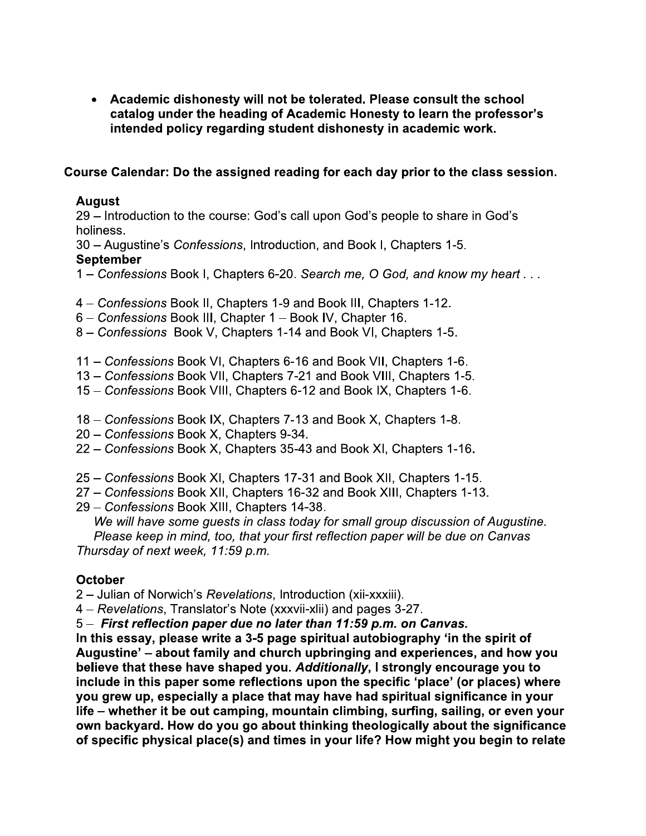Academic dishonesty will not be tolerated. Please consult the school catalog under the heading of Academic Honesty to learn the professor's intended policy regarding student dishonesty in academic work.

# Course Calendar: Do the assigned reading for each day prior to the class session.

# **August**

29 - Introduction to the course: God's call upon God's people to share in God's holiness.

30 - Augustine's Confessions, Introduction, and Book I, Chapters 1-5. **September** 

- 1 Confessions Book I, Chapters 6-20. Search me, O God, and know my heart ...
- 4 Confessions Book II, Chapters 1-9 and Book III, Chapters 1-12.
- 6 Confessions Book III, Chapter 1 Book IV, Chapter 16.
- 8 Confessions Book V, Chapters 1-14 and Book VI, Chapters 1-5.
- 11 Confessions Book VI, Chapters 6-16 and Book VII, Chapters 1-6.
- 13 Confessions Book VII, Chapters 7-21 and Book VIII, Chapters 1-5.
- 15 Confessions Book VIII, Chapters 6-12 and Book IX, Chapters 1-6.
- 18 Confessions Book IX, Chapters 7-13 and Book X, Chapters 1-8.
- 20 Confessions Book X, Chapters 9-34.
- 22 Confessions Book X, Chapters 35-43 and Book XI, Chapters 1-16.
- 25 Confessions Book XI, Chapters 17-31 and Book XII, Chapters 1-15.
- 27 Confessions Book XII, Chapters 16-32 and Book XIII, Chapters 1-13.
- 29 Confessions Book XIII, Chapters 14-38.

We will have some guests in class today for small group discussion of Augustine. Please keep in mind, too, that your first reflection paper will be due on Canvas Thursday of next week, 11:59 p.m.

## **October**

2 – Julian of Norwich's Revelations, Introduction (xii-xxxiii).

4 – Revelations, Translator's Note (xxxvii-xlii) and pages 3-27.

5 - First reflection paper due no later than 11:59 p.m. on Canvas.

In this essay, please write a 3-5 page spiritual autobiography 'in the spirit of Augustine' – about family and church upbringing and experiences, and how you believe that these have shaped you. Additionally, I strongly encourage you to include in this paper some reflections upon the specific 'place' (or places) where you grew up, especially a place that may have had spiritual significance in your life - whether it be out camping, mountain climbing, surfing, sailing, or even your own backyard. How do you go about thinking theologically about the significance of specific physical place(s) and times in your life? How might you begin to relate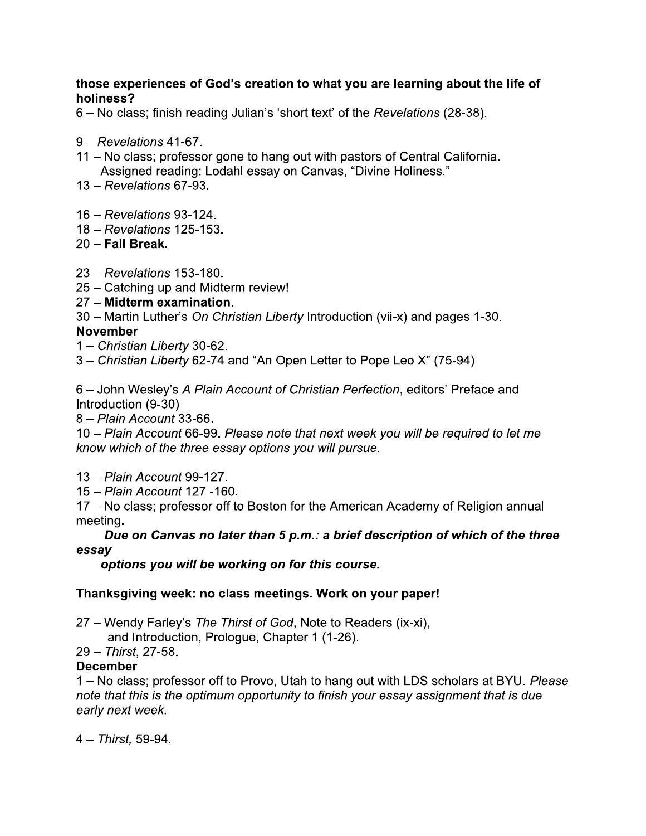# those experiences of God's creation to what you are learning about the life of holiness?

6 – No class; finish reading Julian's 'short text' of the Revelations (28-38).

- $9 Revelations$  41-67.
- 11 No class; professor gone to hang out with pastors of Central California. Assigned reading: Lodahl essay on Canvas, "Divine Holiness."
- $13 Revelations$  67-93.
- 16 Revelations 93-124.
- 18 Revelations 125-153.
- $20 -$ Fall Break.
- 23 Revelations 153-180.
- 25 Catching up and Midterm review!

# 27 - Midterm examination.

30 – Martin Luther's On Christian Liberty Introduction (vii-x) and pages 1-30.

## **November**

- 1 Christian Liberty 30-62.
- 3 Christian Liberty 62-74 and "An Open Letter to Pope Leo X" (75-94)

6 – John Wesley's A Plain Account of Christian Perfection, editors' Preface and Introduction (9-30)

8 - Plain Account 33-66.

10 – Plain Account 66-99. Please note that next week you will be required to let me know which of the three essay options you will pursue.

13 - Plain Account 99-127.

15 - Plain Account 127 -160.

17 – No class; professor off to Boston for the American Academy of Religion annual meeting.

# Due on Canvas no later than 5 p.m.: a brief description of which of the three essay

options you will be working on for this course.

## Thanksgiving week: no class meetings. Work on your paper!

27 - Wendy Farley's The Thirst of God, Note to Readers (ix-xi),

and Introduction, Prologue, Chapter 1 (1-26).

29 - Thirst. 27-58.

## **December**

1 – No class; professor off to Provo, Utah to hang out with LDS scholars at BYU. Please note that this is the optimum opportunity to finish your essay assignment that is due early next week.

 $4 - 7$ hirst. 59-94.